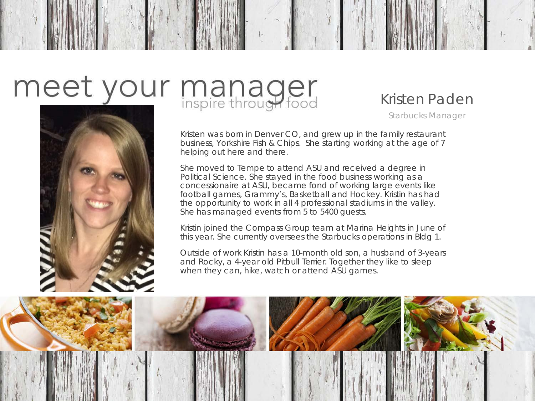

#### Kristen Paden

Starbucks Manager

Kristen was born in Denver CO, and grew up in the family restaurant business, Yorkshire Fish & Chips. She starting working at the age of 7 helping out here and there.

She moved to Tempe to attend ASU and received a degree in Political Science. She stayed in the food business working as a concessionaire at ASU, became fond of working large events like football games, Grammy's, Basketball and Hockey. Kristin has had the opportunity to work in all 4 professional stadiums in the valley. She has managed events from 5 to 5400 guests.

Kristin joined the Compass Group team at Marina Heights in June of this year. She currently oversees the Starbucks operations in Bldg 1.

Outside of work Kristin has a 10-month old son, a husband of 3-years and Rocky, a 4-year old Pitbull Terrier. Together they like to sleep when they can, hike, watch or attend ASU games.

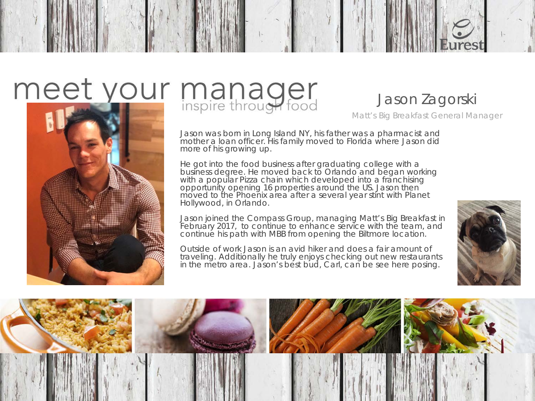

### Jason Zagorski

Matt's Big Breakfast General Manager

Jason was born in Long Island NY, his father was a pharmacist and mother a loan officer. His family moved to Florida where Jason did more of his growing up.

He got into the food business after graduating college with a business degree. He moved back to Orlando and began working with a popular Pizza chain which developed into a franchising opportunity opening 16 properties around the US. Jason then moved to the Phoenix area after a several year stint with Planet Hollywood, in Orlando.

Jason joined the Compass Group, managing Matt's Big Breakfast in February 2017, to continue to enhance service with the team, and continue his path with MBB from opening the Biltmore location.

Outside of work Jason is an avid hiker and does a fair amount of traveling. Additionally he truly enjoys checking out new restaurants in the metro area. Jason's best bud, Carl, can be see here posing.



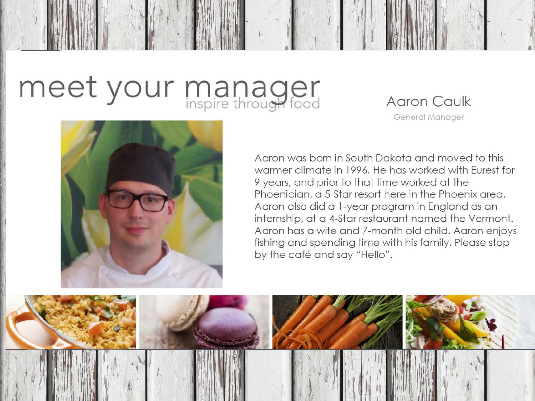### **Aaron Caulk**

General Manager



Agron was born in South Dakota and moved to this warmer climate in 1996. He has worked with Eurest for 9 years, and prior to that time worked at the Phoenician, a 5-Star resort here in the Phoenix area. Aaron also did a 1-year program in England as an internship, at a 4-Star restaurant named the Vermont. Aaron has a wife and 7-month old child. Aaron enjoys fishing and spending time with his family. Please stop by the café and say "Hello".

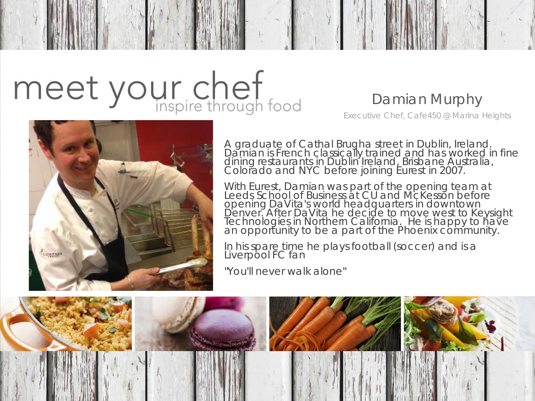# meet your chef

### Damian Murphy

Executive Chef, Cafe450 @ Marina Heights



A graduate of Cathal Brugha street in Dublin, Ireland. Damian is French classically trained and has worked in fine dining restaurants in Dublin Ireland, Brisbane Australia, Colorado and NYC before joining Eurest in 2007.

With Eurest, Damian was part of the opening team at<br>Leeds School of Business at CU and McKesson before opening DaVita's world headquarters in downtown Denver. After DaVita he decide to move west to Keysight<br>Technologies in Northern California. He is happy to have an opportunity to be a part of the Phoenix community.

In his spare time he plays football (soccer) and is a Liverpool FC fan

"You'll never walk alone"

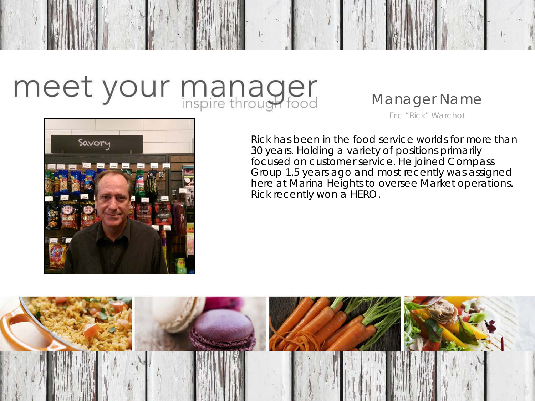#### Manager Name

Eric "Rick" Warchot

Savory

Rick has been in the food service worlds for more than 30 years. Holding a variety of positions primarily focused on customer service. He joined Compass Group 1.5 years ago and most recently was assigned here at Marina Heights to oversee Market operations. Rick recently won a HERO.